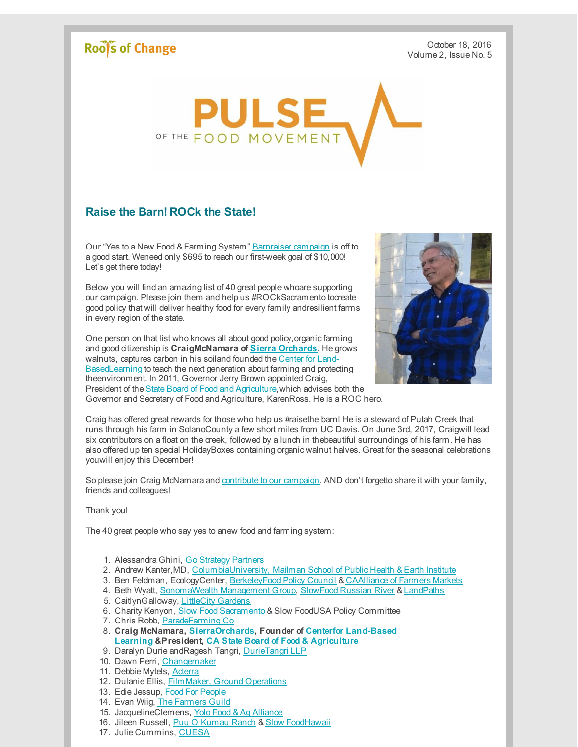## Roof's of Change

October 18, 2016 Volume 2, Issue No. 5



## **Raise the Barn! ROCk the State!**

Our "Yes to a New Food & Farming System" [Barnraiser](http://r20.rs6.net/tn.jsp?f=0016T5233KN13P6iiDEGYXQ963N9WWmK05V77RkGxJvCgNsRzMYrBQp8qMuIj9XAkgJZko6MEov72vBJAfCMNpF-GC_K3jOiJXq0RUUzMhAEIMz0l8_c9SrkB5iuqyY1_MCPK3pIhLqo3-sZsRzfajGTA==&c=&ch=) campaign is off to a good start. Weneed only \$695 to reach our first-week goal of \$10,000! Let's get there today!

Below you will find an amazing list of 40 great people whoare supporting our campaign. Please join them and help us #ROCkSacramento tocreate good policy that will deliver healthy food for every family andresilient farms in every region of the state.

One person on that list who knows all about good policy, organic farming and good citizenship is **CraigMcNamara of Sierra [Orchards](http://r20.rs6.net/tn.jsp?f=0016T5233KN13P6iiDEGYXQ963N9WWmK05V77RkGxJvCgNsRzMYrBQp8qMuIj9XAkgJsHWoOJv7wh5SiGUUQ9xqyWqKrd-pgrKf4bZZim_PqiZoPT4EBEUtTmelwv6Do755dX5rZNAA_qM7oCreBiUojkAnoBl6j34d&c=&ch=)**. He grows walnuts, captures carbon in his soiland founded the Center for Land-[BasedLearning](http://r20.rs6.net/tn.jsp?f=0016T5233KN13P6iiDEGYXQ963N9WWmK05V77RkGxJvCgNsRzMYrBQp8lhXH0OrFT9eE8ncc2akVo4OdCF7icldY5og2eS6u5AOwAm8V3a1gSf9OeVUDVxZ6u9IUlba5GFFbPbyXSKjR6k3oy2XOGFqwavyvU26eN7I&c=&ch=) to teach the next generation about farming and protecting theenvironment. In 2011, Governor Jerry Brown appointed Craig, President of the State Board of Food and [Agriculture](http://r20.rs6.net/tn.jsp?f=0016T5233KN13P6iiDEGYXQ963N9WWmK05V77RkGxJvCgNsRzMYrBQp8qMuIj9XAkgJLxZnBMbSrK-aoZsA36xxWY1xZuh9_wjq0AkaL2jR4A02V04OGzy0JJzQNW7qxxSJQncbnB9WdXZVCWDZWorYoJQP77zgGlYowL7L5fFqD90=&c=&ch=), which advises both the Governor and Secretary of Food and Agriculture, KarenRoss. He is a ROC hero.



Craig has offered great rewards for those who help us #raisethe barn! He is a steward of Putah Creek that runs through his farm in SolanoCounty a few short miles from UC Davis. On June 3rd, 2017, Craigwill lead six contributors on a float on the creek, followed by a lunch in thebeautiful surroundings of his farm. He has also offered up ten special HolidayBoxes containing organic walnut halves. Great for the seasonal celebrations youwill enjoy this December!

So please join Craig McNamara and [contribute](http://r20.rs6.net/tn.jsp?f=0016T5233KN13P6iiDEGYXQ963N9WWmK05V77RkGxJvCgNsRzMYrBQp8qMuIj9XAkgJZko6MEov72vBJAfCMNpF-GC_K3jOiJXq0RUUzMhAEIMz0l8_c9SrkB5iuqyY1_MCPK3pIhLqo3-sZsRzfajGTA==&c=&ch=) to our campaign. AND don't forgetto share it with your family, friends and colleagues!

## Thank you!

The 40 great people who say yes to anew food and farming system:

- 1. Alessandra Ghini, Go [Strategy](http://r20.rs6.net/tn.jsp?f=0016T5233KN13P6iiDEGYXQ963N9WWmK05V77RkGxJvCgNsRzMYrBQp8qMuIj9XAkgJnVZu2xV3kdbbrj2zjlwuJY-sJ5oA4RxRQu8GfcQB5i7z-bbCIt7PTDOtD28AZsFNu-3eVCEOa6qGkoZEhcOFUwAj3WGurR7r&c=&ch=) Partners
- 2. Andrew Kanter,MD, [ColumbiaUniversity,](http://r20.rs6.net/tn.jsp?f=0016T5233KN13P6iiDEGYXQ963N9WWmK05V77RkGxJvCgNsRzMYrBQp8qMuIj9XAkgJuYK4SFew84AMZsYVciCKXqNCZ8ID3lCxzD47l1kSsyLbNx0cuX_OH5Tzf5jvoyXs6spYw0sKb8T7CZvOChI4L5NKlO6jSPXvUEL5CLHsy_auo9uqwq5yUhQ6_T37XczrPyX6sE-IMrU=&c=&ch=) Mailman School of Public Health & Earth Institute
- 3. Ben Feldman, EcologyCenter, [BerkeleyFood](http://r20.rs6.net/tn.jsp?f=0016T5233KN13P6iiDEGYXQ963N9WWmK05V77RkGxJvCgNsRzMYrBQp8qMuIj9XAkgJA-Q9mvUYnH4xiWKtamLP-fHKL0Tjtd7KM7Z2t9aNImZnjQrKGH2EKp2_xx6fb0sJUU9Z5QwFWPymqEUvtb7USmlatapvEqYFGJfIwGECSVxf-NDeQjKzUastZRS3-cMl0W9-TvlHwVw=&c=&ch=) Policy Council & [CAAlliance](http://r20.rs6.net/tn.jsp?f=0016T5233KN13P6iiDEGYXQ963N9WWmK05V77RkGxJvCgNsRzMYrBQp8qMuIj9XAkgJkGLTN5_gpfivkqnNjLxZydpFkDJgitHmpkLyuiONE4_xvklw8iRwm4bU0DuvaC1Ugu7sbaRuIhHMVErvBsBq0B7Q0F8iSNS6&c=&ch=) of Farmers Markets
- 4. Beth Wyatt, [SonomaWealth](http://r20.rs6.net/tn.jsp?f=0016T5233KN13P6iiDEGYXQ963N9WWmK05V77RkGxJvCgNsRzMYrBQp8qMuIj9XAkgJ_AFs41IouXR0naoNfjb4WwpIm3zgYAkaB33oE4oGc8Jam0PNo9fj_TXriWTpa6m4Ah7XwfIbM5wMhgszub8ZRctqPZ-0bJc97hk7fjc0neLI_0QMBOPY1D9X173oiBWRjBR2NIsSi5RuoE9xvdzTuw==&c=&ch=) Management Group, [SlowFood](http://r20.rs6.net/tn.jsp?f=0016T5233KN13P6iiDEGYXQ963N9WWmK05V77RkGxJvCgNsRzMYrBQp8qMuIj9XAkgJUFeYmqDTlaiDn7fWkKjH4tfYInDnSZWkqGGXqI7CsCV_kpXcy5wpiKyZVn8gSU9kNIGjCALbXQHbMaT563HQGQ==&c=&ch=) Russian River & [LandPaths](http://r20.rs6.net/tn.jsp?f=0016T5233KN13P6iiDEGYXQ963N9WWmK05V77RkGxJvCgNsRzMYrBQp8qMuIj9XAkgJKgC7AX9hX3t0hI36_Du2hU_HvWbQcmtGnqywsAtZkmJgMGcNxY01JTTfkxogWqKYmZ43sD8-ANJtlHQZdoGqUg==&c=&ch=)
- 5. CaitlynGalloway, [LittleCity](http://r20.rs6.net/tn.jsp?f=0016T5233KN13P6iiDEGYXQ963N9WWmK05V77RkGxJvCgNsRzMYrBQp8qMuIj9XAkgJDdAYNq7WYn2jXjZmwJPHw0ND6cnKVWwStForZVdJm_eAyK-iY9byqAMZeEqjxsuWHacTGwhKnzKUzCcPSqgzEoT7TaygENTw&c=&ch=) Gardens
- 6. Charity Kenyon, Slow Food [Sacramento](http://r20.rs6.net/tn.jsp?f=0016T5233KN13P6iiDEGYXQ963N9WWmK05V77RkGxJvCgNsRzMYrBQp8qMuIj9XAkgJYsxpwmYjdr4jh0iOz0JfVlyxuCtCIrM26MfxqIpxVy1Dl--poWVEFbigMqHWO3GY1izjceo7DwLE1NvPf9-Sit5Q7aZETNfz&c=&ch=) & Slow FoodUSA Policy Committee
- 7. Chris Robb, [ParadeFarming](http://r20.rs6.net/tn.jsp?f=0016T5233KN13P6iiDEGYXQ963N9WWmK05V77RkGxJvCgNsRzMYrBQp8qMuIj9XAkgJptQfeCulAvLv4xqfENIf88SpfuQ0y_SOnFl67f5BcQ9hnIk-uXxYBMLQcgd0AGWDROVkhMNitx38VG-JJYLbb27rIBW8-jp3-mHp_jvJFyFJF1gymk7OYBXhCnHeCSzp&c=&ch=) Co
- 8. **Craig McNamara, [SierraOrchard](http://r20.rs6.net/tn.jsp?f=0016T5233KN13P6iiDEGYXQ963N9WWmK05V77RkGxJvCgNsRzMYrBQp8qMuIj9XAkgJsHWoOJv7wh5SiGUUQ9xqyWqKrd-pgrKf4bZZim_PqiZoPT4EBEUtTmelwv6Do755dX5rZNAA_qM7oCreBiUojkAnoBl6j34d&c=&ch=)[s,](http://r20.rs6.net/tn.jsp?f=0016T5233KN13P6iiDEGYXQ963N9WWmK05V77RkGxJvCgNsRzMYrBQp8lhXH0OrFT9eE8ncc2akVo4OdCF7icldY5og2eS6u5AOwAm8V3a1gSf9OeVUDVxZ6u9IUlba5GFFbPbyXSKjR6k3oy2XOGFqwavyvU26eN7I&c=&ch=) Founder of Centerfor Land-Based Learning &President, CA State Board of Food & [Agriculture](http://r20.rs6.net/tn.jsp?f=0016T5233KN13P6iiDEGYXQ963N9WWmK05V77RkGxJvCgNsRzMYrBQp8qMuIj9XAkgJLxZnBMbSrK-aoZsA36xxWY1xZuh9_wjq0AkaL2jR4A02V04OGzy0JJzQNW7qxxSJQncbnB9WdXZVCWDZWorYoJQP77zgGlYowL7L5fFqD90=&c=&ch=)**
- 9. Daralyn Durie andRagesh Tangri, [DurieTangri](http://r20.rs6.net/tn.jsp?f=0016T5233KN13P6iiDEGYXQ963N9WWmK05V77RkGxJvCgNsRzMYrBQp8lhXH0OrFT9eoAGTaLCBsycDTopeXBizdmKakFuLpuSbGvFgOS2K5FyZ30wUNpm9Jcix0I-55t6M9-BVPNNH7sDPuZ7McJLN6Q==&c=&ch=) LLP
- 10. Dawn Perri, [Changemaker](http://r20.rs6.net/tn.jsp?f=0016T5233KN13P6iiDEGYXQ963N9WWmK05V77RkGxJvCgNsRzMYrBQp8qMuIj9XAkgJj3ikoS9yyiyCbnIZM-Tnu8ony7OzwqKzBHsCbAxBujD3cy3zsgxJ4tPM3DvX8lwdLS0SlNdq0zaZ24GFuj4VAsfNYqElCYumrNWZIY9eas96nnhvlLlr8UHfd4qNGVBX&c=&ch=)
- 11. Debbie Mytels, [Acterra](http://r20.rs6.net/tn.jsp?f=0016T5233KN13P6iiDEGYXQ963N9WWmK05V77RkGxJvCgNsRzMYrBQp8qMuIj9XAkgJ2ntbw32HlaawbinoCeK_JqEm_P_eui7ClZTdqNzvep7w9o1N6_6GBGAtfrQceBAVIwsIH6-sosDEPb2QgOxzh3ryo6s9Do-l4MHr5NR24_AixmKLbemPNQ==&c=&ch=)
- 12. Dulanie Ellis, Film Maker, Ground Operations
- 13. Edie Jessup, Food For [People](http://r20.rs6.net/tn.jsp?f=0016T5233KN13P6iiDEGYXQ963N9WWmK05V77RkGxJvCgNsRzMYrBQp8qMuIj9XAkgJGmzzVzk0n36EC8KbCiEsMU7th4VEQlKbxMNjrl7DLTrPHhpk1CpE2LBCWNzEPd4cJ4nWoozqSHLcmW5g9D3oMA1-Hj_w_vVGugP1EJc9xZ_xZCS1xzj7xg==&c=&ch=)
- 14. Evan Wiig, The [Farmers](http://r20.rs6.net/tn.jsp?f=0016T5233KN13P6iiDEGYXQ963N9WWmK05V77RkGxJvCgNsRzMYrBQp8qMuIj9XAkgJ9t89UHj60BfD8BvyK2CCD9Icf8bTcLNXWUH5yURKyjO_1iYYJJ79rtnfI-Ch39qQcaV0m8CLCC7Q7dHqLIxqfBmW-dgeAuRQ&c=&ch=) Guild
- 15. JacquelineClemens, Yolo Food & Ag [Alliance](http://r20.rs6.net/tn.jsp?f=0016T5233KN13P6iiDEGYXQ963N9WWmK05V77RkGxJvCgNsRzMYrBQp8qMuIj9XAkgJFskYHc-Z4GwTX-TSiginPViRUT5PbFgCKh_uG_rwyuqHvzci5pSIZTpAPUxtWvGmjaBHB_7QJK6o2g210619PQ==&c=&ch=)
- 16. Jileen Russell, Puu O [Kumau](http://r20.rs6.net/tn.jsp?f=0016T5233KN13P6iiDEGYXQ963N9WWmK05V77RkGxJvCgNsRzMYrBQp8qMuIj9XAkgJvBIVkdjQoXwthduagUk_7XemHpl0NtNk75__7pnRh6G5rfAxETw1kDytEj7Dnm952Zpb7ab-tV2kq3neSWaqSAXYhpi_RO4Ai5t88n78dbA=&c=&ch=) Ranch & Slow [FoodHawaii](http://r20.rs6.net/tn.jsp?f=0016T5233KN13P6iiDEGYXQ963N9WWmK05V77RkGxJvCgNsRzMYrBQp8lhXH0OrFT9eTGBmyspK3w9qDyhwng3Sm10fOm9IWd26f8s8z31wRawTC3GNrxjYrxgOeQDfifut-ZZNMgk3CKB00UxjeTQPbgaR2G2LHQvz&c=&ch=)
- 17. Julie Cummins, [CUESA](http://r20.rs6.net/tn.jsp?f=0016T5233KN13P6iiDEGYXQ963N9WWmK05V77RkGxJvCgNsRzMYrBQp8qMuIj9XAkgJ1V-ylklQ_4anpVnzP_XDGkFqP2lkd8RjeMqeRfYlgmTGDh7svPTConO0vimsHT4cqLpKfEYf63ex2QhKcPsEtQ==&c=&ch=)